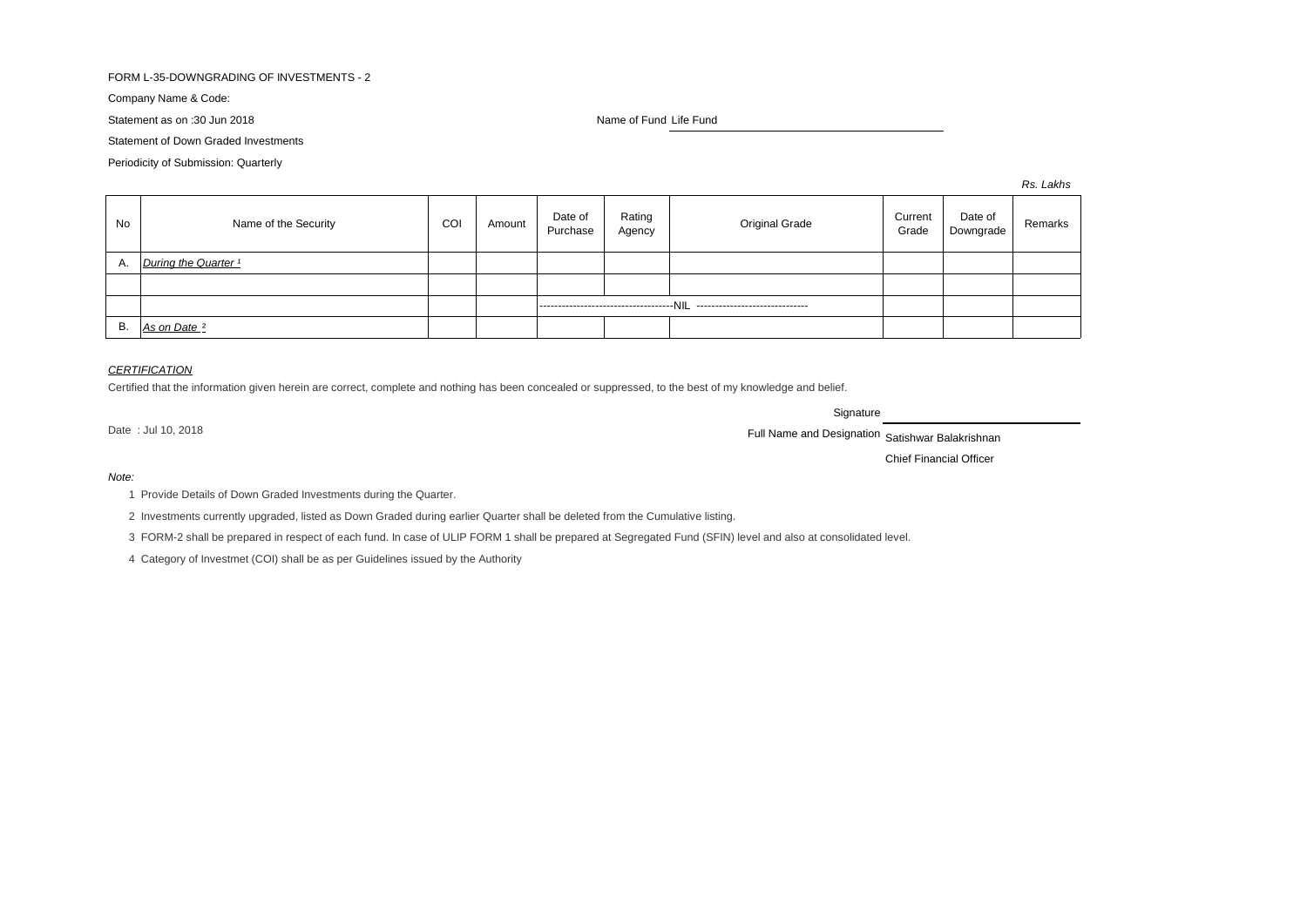## FORM L-35-DOWNGRADING OF INVESTMENTS - 2

Company Name & Code:

Statement as on :30 Jun 2018 Name of Fund Life Fund Life Fund

Statement of Down Graded Investments

Periodicity of Submission: Quarterly

*Rs. Lakhs*

| No | Name of the Security            | COI | Amount | Date of<br>Purchase                                                        | Rating<br>Agency | <b>Original Grade</b> | Current<br>Grade | Date of<br>Downgrade | Remarks |
|----|---------------------------------|-----|--------|----------------------------------------------------------------------------|------------------|-----------------------|------------------|----------------------|---------|
| Α. | During the Quarter <sup>1</sup> |     |        |                                                                            |                  |                       |                  |                      |         |
|    |                                 |     |        |                                                                            |                  |                       |                  |                      |         |
|    |                                 |     |        | ------------------------------------NIL<br>------------------------------- |                  |                       |                  |                      |         |
| В. | As on Date <sup>2</sup>         |     |        |                                                                            |                  |                       |                  |                      |         |

### *CERTIFICATION*

Certified that the information given herein are correct, complete and nothing has been concealed or suppressed, to the best of my knowledge and belief.

**Signature** 

Date : Jul 10, 2018 **Satishwar Balakrishnan** Full Name and Designation Satishwar Balakrishnan

Chief Financial Officer

*Note:*

1 Provide Details of Down Graded Investments during the Quarter.

2 Investments currently upgraded, listed as Down Graded during earlier Quarter shall be deleted from the Cumulative listing.

3 FORM-2 shall be prepared in respect of each fund. In case of ULIP FORM 1 shall be prepared at Segregated Fund (SFIN) level and also at consolidated level.

4 Category of Investmet (COI) shall be as per Guidelines issued by the Authority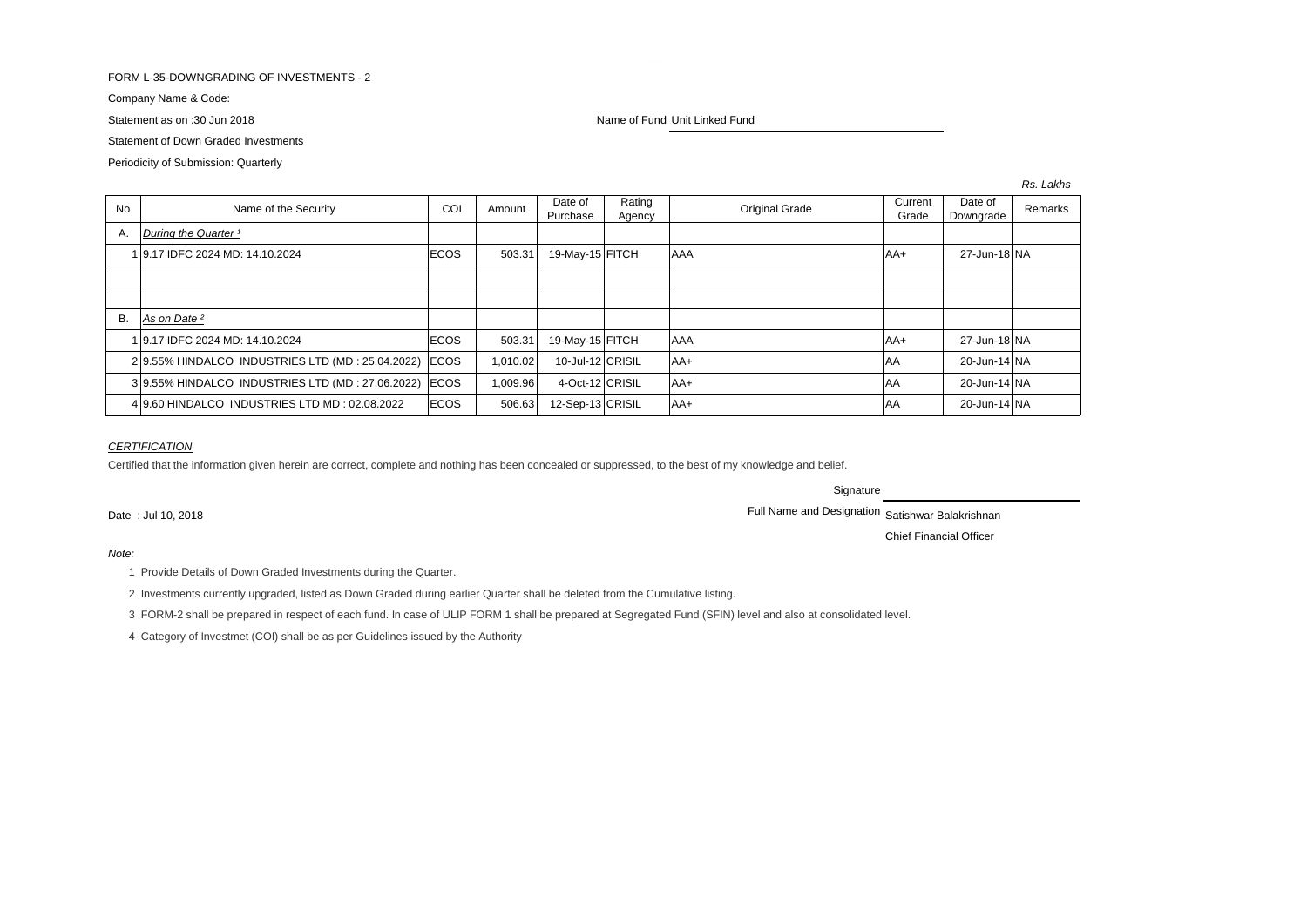## FORM L-35-DOWNGRADING OF INVESTMENTS - 2

Company Name & Code:

Statement of Down Graded Investments

Periodicity of Submission: Quarterly

Statement as on :30 Jun 2018 Name of Fund Unit Linked Fund Unit Linked Fund

*Rs. Lakhs*

| <b>No</b> | Name of the Security                                 | COI         | Amount   | Date of<br>Purchase | Rating<br>Agency | <b>Original Grade</b> | Current<br>Grade | Date of<br>Remarks<br>Downgrade |  |
|-----------|------------------------------------------------------|-------------|----------|---------------------|------------------|-----------------------|------------------|---------------------------------|--|
| Α.        | During the Quarter 1                                 |             |          |                     |                  |                       |                  |                                 |  |
|           | 1 9.17 IDFC 2024 MD: 14.10.2024                      | ECOS        | 503.31   | 19-May-15 FITCH     |                  | AAA                   | AA+              | 27-Jun-18 NA                    |  |
|           |                                                      |             |          |                     |                  |                       |                  |                                 |  |
|           |                                                      |             |          |                     |                  |                       |                  |                                 |  |
| <b>B.</b> | As on Date <sup>2</sup>                              |             |          |                     |                  |                       |                  |                                 |  |
|           | 1 9.17 IDFC 2024 MD: 14.10.2024                      | ECOS        | 503.31   | 19-May-15 FITCH     |                  | AAA                   | AA+              | 27-Jun-18 NA                    |  |
|           | 29.55% HINDALCO INDUSTRIES LTD (MD: 25.04.2022)      | <b>ECOS</b> | 1.010.02 | 10-Jul-12 CRISIL    |                  | $AA+$                 | lAA              | 20-Jun-14 NA                    |  |
|           | 39.55% HINDALCO INDUSTRIES LTD (MD: 27.06.2022) ECOS |             | 1,009.96 | 4-Oct-12 CRISIL     |                  | $AA+$                 | <b>AA</b>        | 20-Jun-14 NA                    |  |
|           | 49.60 HINDALCO INDUSTRIES LTD MD: 02.08.2022         | <b>ECOS</b> | 506.63   | 12-Sep-13 CRISIL    |                  | $AA+$                 | lAA              | 20-Jun-14 NA                    |  |

### *CERTIFICATION*

Certified that the information given herein are correct, complete and nothing has been concealed or suppressed, to the best of my knowledge and belief.

**Signature** 

Date : Jul 10, 2018 **Full Name and Designation Satishwar Balakrishnan** 

Chief Financial Officer

#### *Note:*

- 1 Provide Details of Down Graded Investments during the Quarter.
- 2 Investments currently upgraded, listed as Down Graded during earlier Quarter shall be deleted from the Cumulative listing.
- 3 FORM-2 shall be prepared in respect of each fund. In case of ULIP FORM 1 shall be prepared at Segregated Fund (SFIN) level and also at consolidated level.
- 4 Category of Investmet (COI) shall be as per Guidelines issued by the Authority